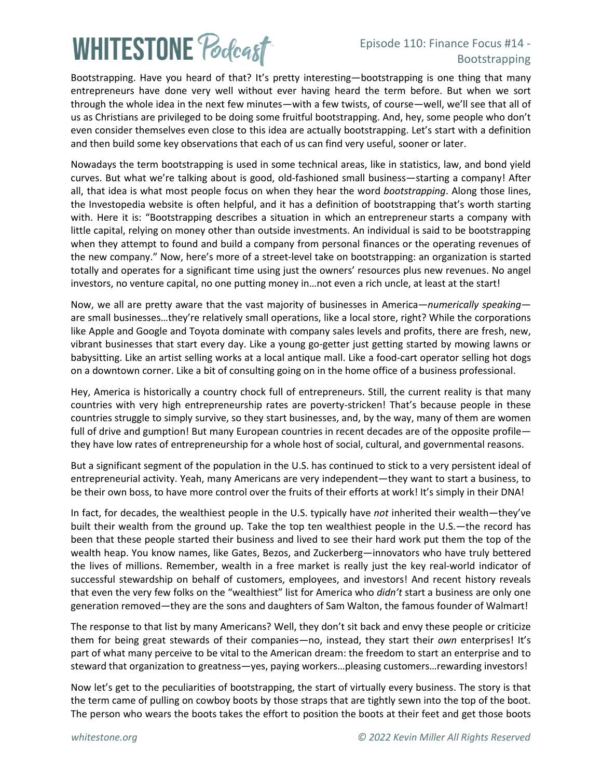## **WHITESTONE Podcast**

## Episode 110: Finance Focus #14 - Bootstrapping

Bootstrapping. Have you heard of that? It's pretty interesting—bootstrapping is one thing that many entrepreneurs have done very well without ever having heard the term before. But when we sort through the whole idea in the next few minutes—with a few twists, of course—well, we'll see that all of us as Christians are privileged to be doing some fruitful bootstrapping. And, hey, some people who don't even consider themselves even close to this idea are actually bootstrapping. Let's start with a definition and then build some key observations that each of us can find very useful, sooner or later.

Nowadays the term bootstrapping is used in some technical areas, like in statistics, law, and bond yield curves. But what we're talking about is good, old-fashioned small business—starting a company! After all, that idea is what most people focus on when they hear the word *bootstrapping*. Along those lines, the Investopedia website is often helpful, and it has a definition of bootstrapping that's worth starting with. Here it is: "Bootstrapping describes a situation in which an [entrepreneur](https://www.investopedia.com/terms/e/entrepreneur.asp) starts a company with little capital, relying on money other than outside investments. An individual is said to be bootstrapping when they attempt to found and build a company from personal finances or the operating revenues of the new company." Now, here's more of a street-level take on bootstrapping: an organization is started totally and operates for a significant time using just the owners' resources plus new revenues. No angel investors, no venture capital, no one putting money in…not even a rich uncle, at least at the start!

Now, we all are pretty aware that the vast majority of businesses in America—*numerically speaking* are small businesses…they're relatively small operations, like a local store, right? While the corporations like Apple and Google and Toyota dominate with company sales levels and profits, there are fresh, new, vibrant businesses that start every day. Like a young go-getter just getting started by mowing lawns or babysitting. Like an artist selling works at a local antique mall. Like a food-cart operator selling hot dogs on a downtown corner. Like a bit of consulting going on in the home office of a business professional.

Hey, America is historically a country chock full of entrepreneurs. Still, the current reality is that many countries with very high entrepreneurship rates are poverty-stricken! That's because people in these countries struggle to simply survive, so they start businesses, and, by the way, many of them are women full of drive and gumption! But many European countries in recent decades are of the opposite profile they have low rates of entrepreneurship for a whole host of social, cultural, and governmental reasons.

But a significant segment of the population in the U.S. has continued to stick to a very persistent ideal of entrepreneurial activity. Yeah, many Americans are very independent—they want to start a business, to be their own boss, to have more control over the fruits of their efforts at work! It's simply in their DNA!

In fact, for decades, the wealthiest people in the U.S. typically have *not* inherited their wealth—they've built their wealth from the ground up. Take the top ten wealthiest people in the U.S.—the record has been that these people started their business and lived to see their hard work put them the top of the wealth heap. You know names, like Gates, Bezos, and Zuckerberg—innovators who have truly bettered the lives of millions. Remember, wealth in a free market is really just the key real-world indicator of successful stewardship on behalf of customers, employees, and investors! And recent history reveals that even the very few folks on the "wealthiest" list for America who *didn't* start a business are only one generation removed—they are the sons and daughters of Sam Walton, the famous founder of Walmart!

The response to that list by many Americans? Well, they don't sit back and envy these people or criticize them for being great stewards of their companies—no, instead, they start their *own* enterprises! It's part of what many perceive to be vital to the American dream: the freedom to start an enterprise and to steward that organization to greatness—yes, paying workers…pleasing customers…rewarding investors!

Now let's get to the peculiarities of bootstrapping, the start of virtually every business. The story is that the term came of pulling on cowboy boots by those straps that are tightly sewn into the top of the boot. The person who wears the boots takes the effort to position the boots at their feet and get those boots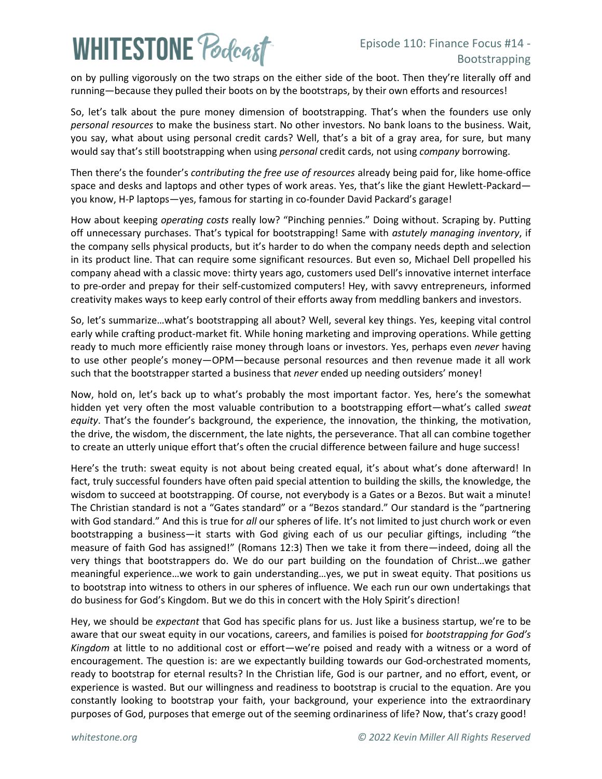## **WHITESTONE Poclast**

on by pulling vigorously on the two straps on the either side of the boot. Then they're literally off and running—because they pulled their boots on by the bootstraps, by their own efforts and resources!

So, let's talk about the pure money dimension of bootstrapping. That's when the founders use only *personal resources* to make the business start. No other investors. No bank loans to the business. Wait, you say, what about using personal credit cards? Well, that's a bit of a gray area, for sure, but many would say that's still bootstrapping when using *personal* credit cards, not using *company* borrowing.

Then there's the founder's *contributing the free use of resources* already being paid for, like home-office space and desks and laptops and other types of work areas. Yes, that's like the giant Hewlett-Packard you know, H-P laptops—yes, famous for starting in co-founder David Packard's garage!

How about keeping *operating costs* really low? "Pinching pennies." Doing without. Scraping by. Putting off unnecessary purchases. That's typical for bootstrapping! Same with *astutely managing inventory*, if the company sells physical products, but it's harder to do when the company needs depth and selection in its product line. That can require some significant resources. But even so, Michael Dell propelled his company ahead with a classic move: thirty years ago, customers used Dell's innovative internet interface to pre-order and prepay for their self-customized computers! Hey, with savvy entrepreneurs, informed creativity makes ways to keep early control of their efforts away from meddling bankers and investors.

So, let's summarize…what's bootstrapping all about? Well, several key things. Yes, keeping vital control early while crafting product-market fit. While honing marketing and improving operations. While getting ready to much more efficiently raise money through loans or investors. Yes, perhaps even *never* having to use other people's money—OPM—because personal resources and then revenue made it all work such that the bootstrapper started a business that *never* ended up needing outsiders' money!

Now, hold on, let's back up to what's probably the most important factor. Yes, here's the somewhat hidden yet very often the most valuable contribution to a bootstrapping effort—what's called *sweat equity*. That's the founder's background, the experience, the innovation, the thinking, the motivation, the drive, the wisdom, the discernment, the late nights, the perseverance. That all can combine together to create an utterly unique effort that's often the crucial difference between failure and huge success!

Here's the truth: sweat equity is not about being created equal, it's about what's done afterward! In fact, truly successful founders have often paid special attention to building the skills, the knowledge, the wisdom to succeed at bootstrapping. Of course, not everybody is a Gates or a Bezos. But wait a minute! The Christian standard is not a "Gates standard" or a "Bezos standard." Our standard is the "partnering with God standard." And this is true for *all* our spheres of life. It's not limited to just church work or even bootstrapping a business—it starts with God giving each of us our peculiar giftings, including "the measure of faith God has assigned!" (Romans 12:3) Then we take it from there—indeed, doing all the very things that bootstrappers do. We do our part building on the foundation of Christ…we gather meaningful experience…we work to gain understanding…yes, we put in sweat equity. That positions us to bootstrap into witness to others in our spheres of influence. We each run our own undertakings that do business for God's Kingdom. But we do this in concert with the Holy Spirit's direction!

Hey, we should be *expectant* that God has specific plans for us. Just like a business startup, we're to be aware that our sweat equity in our vocations, careers, and families is poised for *bootstrapping for God's Kingdom* at little to no additional cost or effort—we're poised and ready with a witness or a word of encouragement. The question is: are we expectantly building towards our God-orchestrated moments, ready to bootstrap for eternal results? In the Christian life, God is our partner, and no effort, event, or experience is wasted. But our willingness and readiness to bootstrap is crucial to the equation. Are you constantly looking to bootstrap your faith, your background, your experience into the extraordinary purposes of God, purposes that emerge out of the seeming ordinariness of life? Now, that's crazy good!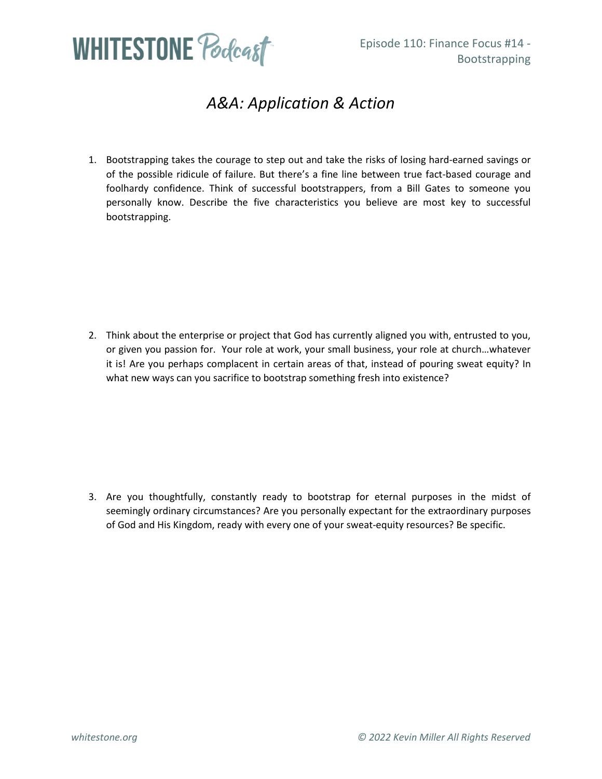

## *A&A: Application & Action*

1. Bootstrapping takes the courage to step out and take the risks of losing hard-earned savings or of the possible ridicule of failure. But there's a fine line between true fact-based courage and foolhardy confidence. Think of successful bootstrappers, from a Bill Gates to someone you personally know. Describe the five characteristics you believe are most key to successful bootstrapping.

2. Think about the enterprise or project that God has currently aligned you with, entrusted to you, or given you passion for. Your role at work, your small business, your role at church…whatever it is! Are you perhaps complacent in certain areas of that, instead of pouring sweat equity? In what new ways can you sacrifice to bootstrap something fresh into existence?

3. Are you thoughtfully, constantly ready to bootstrap for eternal purposes in the midst of seemingly ordinary circumstances? Are you personally expectant for the extraordinary purposes of God and His Kingdom, ready with every one of your sweat-equity resources? Be specific.